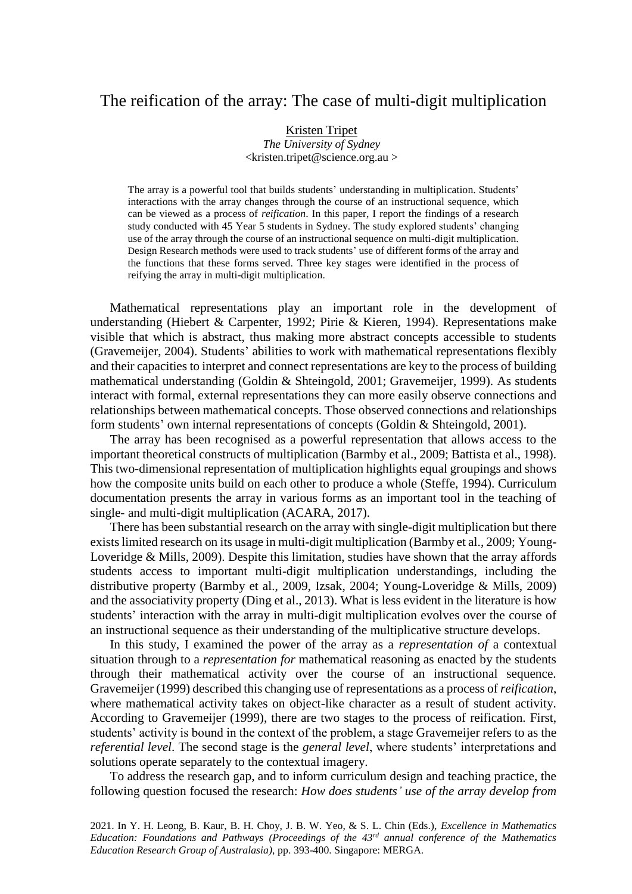# The reification of the array: The case of multi-digit multiplication

#### Kristen Tripet

*The University of Sydney*  $\langle$ kristen.tripet@science.org.au  $>$ 

The array is a powerful tool that builds students' understanding in multiplication. Students' interactions with the array changes through the course of an instructional sequence, which can be viewed as a process of *reification*. In this paper, I report the findings of a research study conducted with 45 Year 5 students in Sydney. The study explored students' changing use of the array through the course of an instructional sequence on multi-digit multiplication. Design Research methods were used to track students' use of different forms of the array and the functions that these forms served. Three key stages were identified in the process of reifying the array in multi-digit multiplication.

Mathematical representations play an important role in the development of understanding (Hiebert & Carpenter, 1992; Pirie & Kieren, 1994). Representations make visible that which is abstract, thus making more abstract concepts accessible to students (Gravemeijer, 2004). Students' abilities to work with mathematical representations flexibly and their capacities to interpret and connect representations are key to the process of building mathematical understanding (Goldin & Shteingold, 2001; Gravemeijer, 1999). As students interact with formal, external representations they can more easily observe connections and relationships between mathematical concepts. Those observed connections and relationships form students' own internal representations of concepts (Goldin & Shteingold, 2001).

The array has been recognised as a powerful representation that allows access to the important theoretical constructs of multiplication (Barmby et al., 2009; Battista et al., 1998). This two-dimensional representation of multiplication highlights equal groupings and shows how the composite units build on each other to produce a whole (Steffe, 1994). Curriculum documentation presents the array in various forms as an important tool in the teaching of single- and multi-digit multiplication (ACARA, 2017).

There has been substantial research on the array with single-digit multiplication but there existslimited research on its usage in multi-digit multiplication (Barmby et al., 2009; Young-Loveridge & Mills, 2009). Despite this limitation, studies have shown that the array affords students access to important multi-digit multiplication understandings, including the distributive property (Barmby et al., 2009, Izsak, 2004; Young-Loveridge & Mills, 2009) and the associativity property (Ding et al., 2013). What is less evident in the literature is how students' interaction with the array in multi-digit multiplication evolves over the course of an instructional sequence as their understanding of the multiplicative structure develops.

In this study, I examined the power of the array as a *representation of* a contextual situation through to a *representation for* mathematical reasoning as enacted by the students through their mathematical activity over the course of an instructional sequence. Gravemeijer (1999) described this changing use of representations as a process of *reification*, where mathematical activity takes on object-like character as a result of student activity. According to Gravemeijer (1999), there are two stages to the process of reification. First, students' activity is bound in the context of the problem, a stage Gravemeijer refers to as the *referential level*. The second stage is the *general level*, where students' interpretations and solutions operate separately to the contextual imagery.

To address the research gap, and to inform curriculum design and teaching practice, the following question focused the research: *How does students' use of the array develop from* 

2021. In Y. H. Leong, B. Kaur, B. H. Choy, J. B. W. Yeo, & S. L. Chin (Eds.), *Excellence in Mathematics Education: Foundations and Pathways (Proceedings of the 43rd annual conference of the Mathematics Education Research Group of Australasia)*, pp. 393-400. Singapore: MERGA.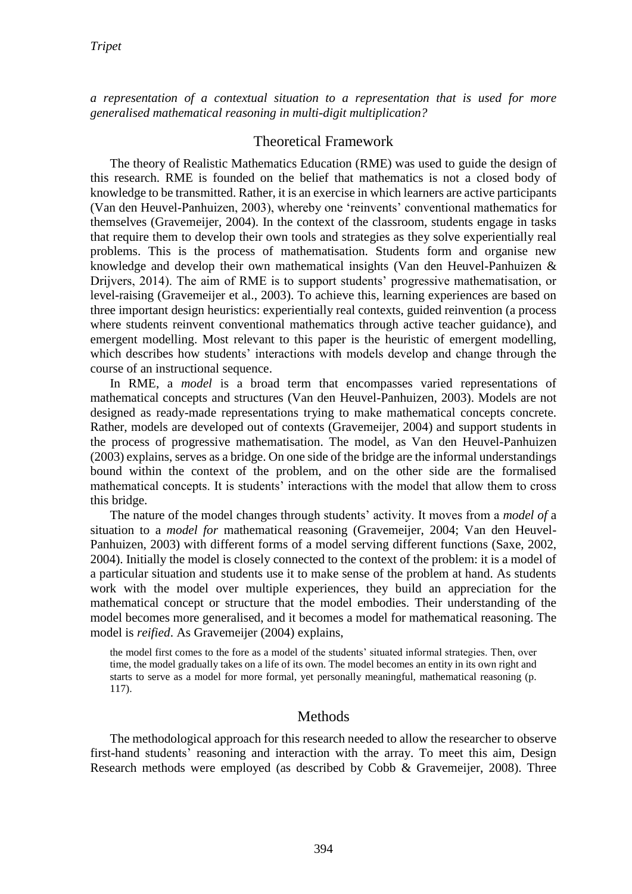*a representation of a contextual situation to a representation that is used for more generalised mathematical reasoning in multi-digit multiplication?*

## Theoretical Framework

The theory of Realistic Mathematics Education (RME) was used to guide the design of this research. RME is founded on the belief that mathematics is not a closed body of knowledge to be transmitted. Rather, it is an exercise in which learners are active participants (Van den Heuvel-Panhuizen, 2003), whereby one 'reinvents' conventional mathematics for themselves (Gravemeijer, 2004). In the context of the classroom, students engage in tasks that require them to develop their own tools and strategies as they solve experientially real problems. This is the process of mathematisation. Students form and organise new knowledge and develop their own mathematical insights (Van den Heuvel-Panhuizen & Drijvers, 2014). The aim of RME is to support students' progressive mathematisation, or level-raising (Gravemeijer et al., 2003). To achieve this, learning experiences are based on three important design heuristics: experientially real contexts, guided reinvention (a process where students reinvent conventional mathematics through active teacher guidance), and emergent modelling. Most relevant to this paper is the heuristic of emergent modelling, which describes how students' interactions with models develop and change through the course of an instructional sequence.

In RME, a *model* is a broad term that encompasses varied representations of mathematical concepts and structures (Van den Heuvel-Panhuizen, 2003). Models are not designed as ready-made representations trying to make mathematical concepts concrete. Rather, models are developed out of contexts (Gravemeijer, 2004) and support students in the process of progressive mathematisation. The model, as Van den Heuvel-Panhuizen (2003) explains, serves as a bridge. On one side of the bridge are the informal understandings bound within the context of the problem, and on the other side are the formalised mathematical concepts. It is students' interactions with the model that allow them to cross this bridge.

The nature of the model changes through students' activity. It moves from a *model of* a situation to a *model for* mathematical reasoning (Gravemeijer, 2004; Van den Heuvel-Panhuizen, 2003) with different forms of a model serving different functions (Saxe, 2002, 2004). Initially the model is closely connected to the context of the problem: it is a model of a particular situation and students use it to make sense of the problem at hand. As students work with the model over multiple experiences, they build an appreciation for the mathematical concept or structure that the model embodies. Their understanding of the model becomes more generalised, and it becomes a model for mathematical reasoning. The model is *reified*. As Gravemeijer (2004) explains,

the model first comes to the fore as a model of the students' situated informal strategies. Then, over time, the model gradually takes on a life of its own. The model becomes an entity in its own right and starts to serve as a model for more formal, yet personally meaningful, mathematical reasoning (p. 117).

### Methods

The methodological approach for this research needed to allow the researcher to observe first-hand students' reasoning and interaction with the array. To meet this aim, Design Research methods were employed (as described by Cobb & Gravemeijer, 2008). Three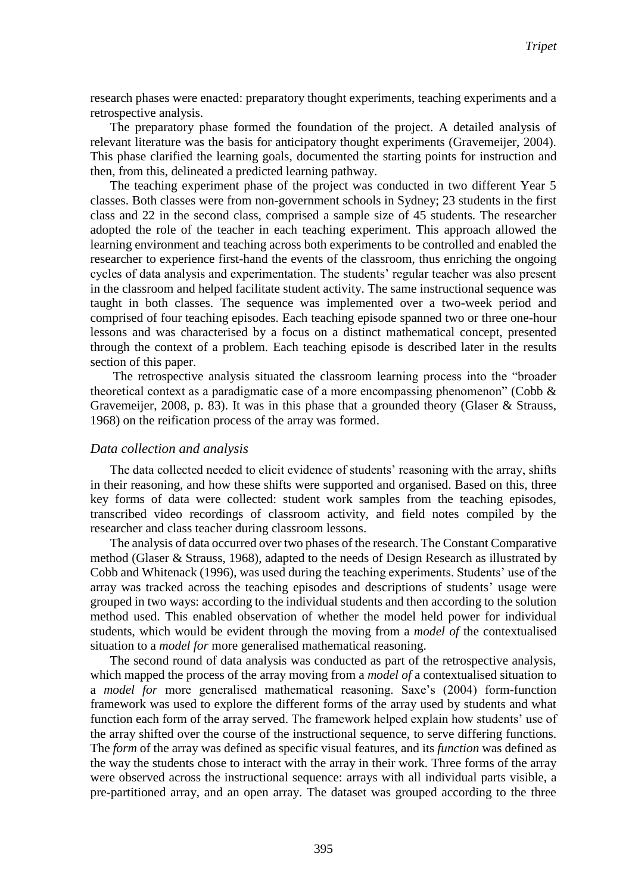research phases were enacted: preparatory thought experiments, teaching experiments and a retrospective analysis.

The preparatory phase formed the foundation of the project. A detailed analysis of relevant literature was the basis for anticipatory thought experiments (Gravemeijer, 2004). This phase clarified the learning goals, documented the starting points for instruction and then, from this, delineated a predicted learning pathway.

The teaching experiment phase of the project was conducted in two different Year 5 classes. Both classes were from non-government schools in Sydney; 23 students in the first class and 22 in the second class, comprised a sample size of 45 students. The researcher adopted the role of the teacher in each teaching experiment. This approach allowed the learning environment and teaching across both experiments to be controlled and enabled the researcher to experience first-hand the events of the classroom, thus enriching the ongoing cycles of data analysis and experimentation. The students' regular teacher was also present in the classroom and helped facilitate student activity. The same instructional sequence was taught in both classes. The sequence was implemented over a two-week period and comprised of four teaching episodes. Each teaching episode spanned two or three one-hour lessons and was characterised by a focus on a distinct mathematical concept, presented through the context of a problem. Each teaching episode is described later in the results section of this paper.

The retrospective analysis situated the classroom learning process into the "broader theoretical context as a paradigmatic case of a more encompassing phenomenon" (Cobb  $\&$ Gravemeijer, 2008, p. 83). It was in this phase that a grounded theory (Glaser & Strauss, 1968) on the reification process of the array was formed.

#### *Data collection and analysis*

The data collected needed to elicit evidence of students' reasoning with the array, shifts in their reasoning, and how these shifts were supported and organised. Based on this, three key forms of data were collected: student work samples from the teaching episodes, transcribed video recordings of classroom activity, and field notes compiled by the researcher and class teacher during classroom lessons.

The analysis of data occurred over two phases of the research. The Constant Comparative method (Glaser & Strauss, 1968), adapted to the needs of Design Research as illustrated by Cobb and Whitenack (1996), was used during the teaching experiments. Students' use of the array was tracked across the teaching episodes and descriptions of students' usage were grouped in two ways: according to the individual students and then according to the solution method used. This enabled observation of whether the model held power for individual students, which would be evident through the moving from a *model of* the contextualised situation to a *model for* more generalised mathematical reasoning.

The second round of data analysis was conducted as part of the retrospective analysis, which mapped the process of the array moving from a *model of* a contextualised situation to a *model for* more generalised mathematical reasoning. Saxe's (2004) form-function framework was used to explore the different forms of the array used by students and what function each form of the array served. The framework helped explain how students' use of the array shifted over the course of the instructional sequence, to serve differing functions. The *form* of the array was defined as specific visual features, and its *function* was defined as the way the students chose to interact with the array in their work. Three forms of the array were observed across the instructional sequence: arrays with all individual parts visible, a pre-partitioned array, and an open array. The dataset was grouped according to the three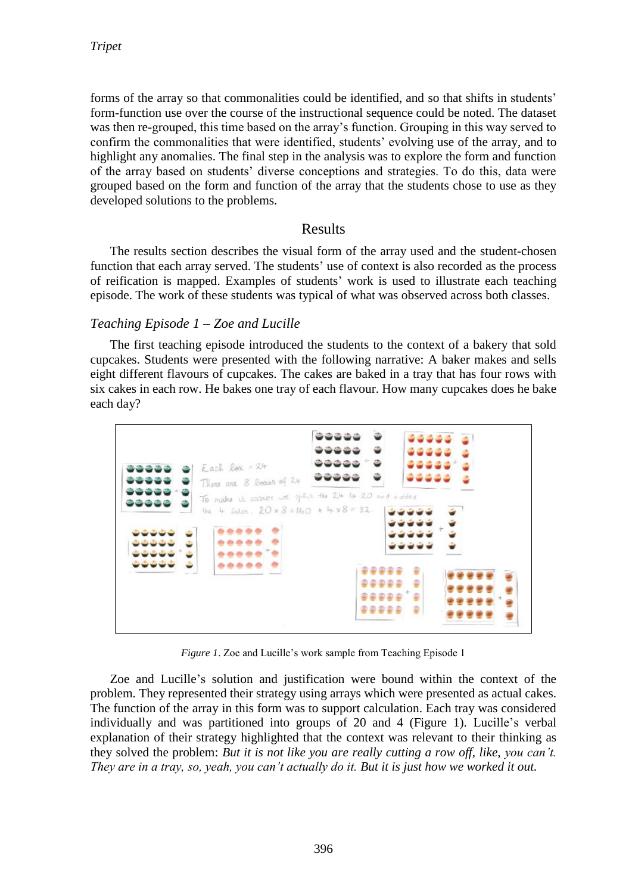forms of the array so that commonalities could be identified, and so that shifts in students' form-function use over the course of the instructional sequence could be noted. The dataset was then re-grouped, this time based on the array's function. Grouping in this way served to confirm the commonalities that were identified, students' evolving use of the array, and to highlight any anomalies. The final step in the analysis was to explore the form and function of the array based on students' diverse conceptions and strategies. To do this, data were grouped based on the form and function of the array that the students chose to use as they developed solutions to the problems.

### Results

The results section describes the visual form of the array used and the student-chosen function that each array served. The students' use of context is also recorded as the process of reification is mapped. Examples of students' work is used to illustrate each teaching episode. The work of these students was typical of what was observed across both classes.

### *Teaching Episode 1 – Zoe and Lucille*

The first teaching episode introduced the students to the context of a bakery that sold cupcakes. Students were presented with the following narrative: A baker makes and sells eight different flavours of cupcakes. The cakes are baked in a tray that has four rows with six cakes in each row. He bakes one tray of each flavour. How many cupcakes does he bake each day?



*Figure 1*. Zoe and Lucille's work sample from Teaching Episode 1

Zoe and Lucille's solution and justification were bound within the context of the problem. They represented their strategy using arrays which were presented as actual cakes. The function of the array in this form was to support calculation. Each tray was considered individually and was partitioned into groups of 20 and 4 (Figure 1). Lucille's verbal explanation of their strategy highlighted that the context was relevant to their thinking as they solved the problem: *But it is not like you are really cutting a row off, like, you can't. They are in a tray, so, yeah, you can't actually do it. But it is just how we worked it out.*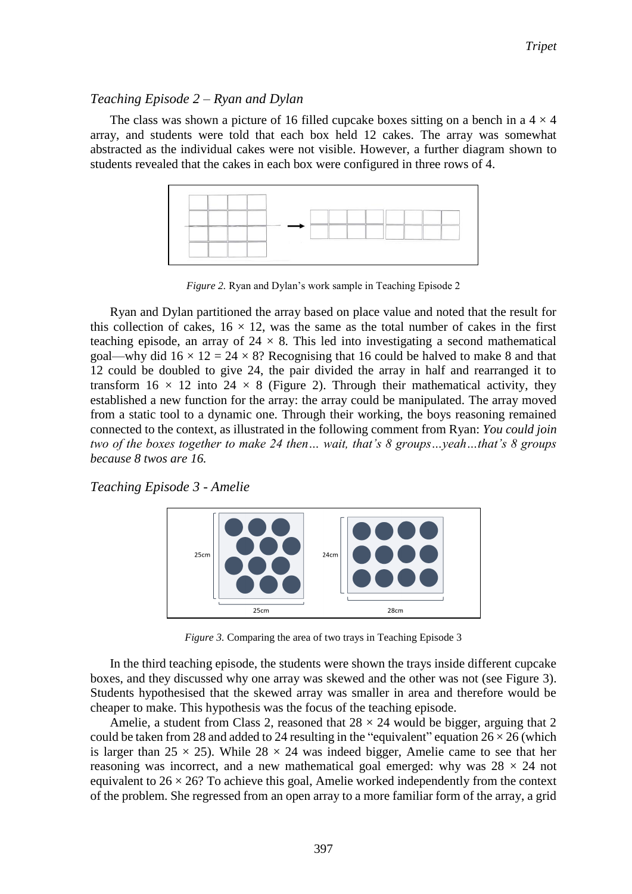### *Teaching Episode 2 – Ryan and Dylan*

The class was shown a picture of 16 filled cupcake boxes sitting on a bench in a  $4 \times 4$ array, and students were told that each box held 12 cakes. The array was somewhat abstracted as the individual cakes were not visible. However, a further diagram shown to students revealed that the cakes in each box were configured in three rows of 4.



*Figure 2.* Ryan and Dylan's work sample in Teaching Episode 2

Ryan and Dylan partitioned the array based on place value and noted that the result for this collection of cakes,  $16 \times 12$ , was the same as the total number of cakes in the first teaching episode, an array of  $24 \times 8$ . This led into investigating a second mathematical goal—why did  $16 \times 12 = 24 \times 8$ ? Recognising that 16 could be halved to make 8 and that 12 could be doubled to give 24, the pair divided the array in half and rearranged it to transform  $16 \times 12$  into  $24 \times 8$  (Figure 2). Through their mathematical activity, they established a new function for the array: the array could be manipulated. The array moved from a static tool to a dynamic one. Through their working, the boys reasoning remained connected to the context, as illustrated in the following comment from Ryan: *You could join two of the boxes together to make 24 then… wait, that's 8 groups…yeah…that's 8 groups because 8 twos are 16.*

*Teaching Episode 3 - Amelie*



*Figure 3.* Comparing the area of two trays in Teaching Episode 3

In the third teaching episode, the students were shown the trays inside different cupcake boxes, and they discussed why one array was skewed and the other was not (see Figure 3). Students hypothesised that the skewed array was smaller in area and therefore would be cheaper to make. This hypothesis was the focus of the teaching episode.

Amelie, a student from Class 2, reasoned that  $28 \times 24$  would be bigger, arguing that 2 could be taken from 28 and added to 24 resulting in the "equivalent" equation  $26 \times 26$  (which is larger than  $25 \times 25$ ). While  $28 \times 24$  was indeed bigger, Amelie came to see that her reasoning was incorrect, and a new mathematical goal emerged: why was  $28 \times 24$  not equivalent to  $26 \times 26$ ? To achieve this goal, Amelie worked independently from the context of the problem. She regressed from an open array to a more familiar form of the array, a grid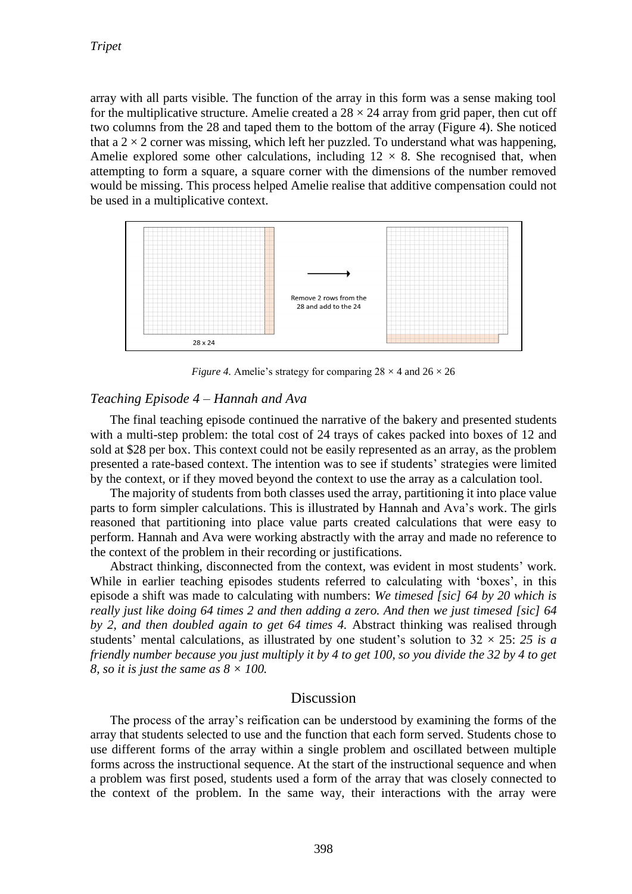array with all parts visible. The function of the array in this form was a sense making tool for the multiplicative structure. Amelie created a  $28 \times 24$  array from grid paper, then cut off two columns from the 28 and taped them to the bottom of the array (Figure 4). She noticed that a  $2 \times 2$  corner was missing, which left her puzzled. To understand what was happening, Amelie explored some other calculations, including  $12 \times 8$ . She recognised that, when attempting to form a square, a square corner with the dimensions of the number removed would be missing. This process helped Amelie realise that additive compensation could not be used in a multiplicative context.



*Figure 4.* Amelie's strategy for comparing  $28 \times 4$  and  $26 \times 26$ 

#### *Teaching Episode 4 – Hannah and Ava*

The final teaching episode continued the narrative of the bakery and presented students with a multi-step problem: the total cost of 24 trays of cakes packed into boxes of 12 and sold at \$28 per box. This context could not be easily represented as an array, as the problem presented a rate-based context. The intention was to see if students' strategies were limited by the context, or if they moved beyond the context to use the array as a calculation tool.

The majority of students from both classes used the array, partitioning it into place value parts to form simpler calculations. This is illustrated by Hannah and Ava's work. The girls reasoned that partitioning into place value parts created calculations that were easy to perform. Hannah and Ava were working abstractly with the array and made no reference to the context of the problem in their recording or justifications.

Abstract thinking, disconnected from the context, was evident in most students' work. While in earlier teaching episodes students referred to calculating with 'boxes', in this episode a shift was made to calculating with numbers: *We timesed [sic] 64 by 20 which is really just like doing 64 times 2 and then adding a zero. And then we just timesed [sic] 64 by 2, and then doubled again to get 64 times 4.* Abstract thinking was realised through students' mental calculations, as illustrated by one student's solution to  $32 \times 25$ : 25 is a *friendly number because you just multiply it by 4 to get 100, so you divide the 32 by 4 to get 8, so it is just the same as 8 × 100.*

#### Discussion

The process of the array's reification can be understood by examining the forms of the array that students selected to use and the function that each form served. Students chose to use different forms of the array within a single problem and oscillated between multiple forms across the instructional sequence. At the start of the instructional sequence and when a problem was first posed, students used a form of the array that was closely connected to the context of the problem. In the same way, their interactions with the array were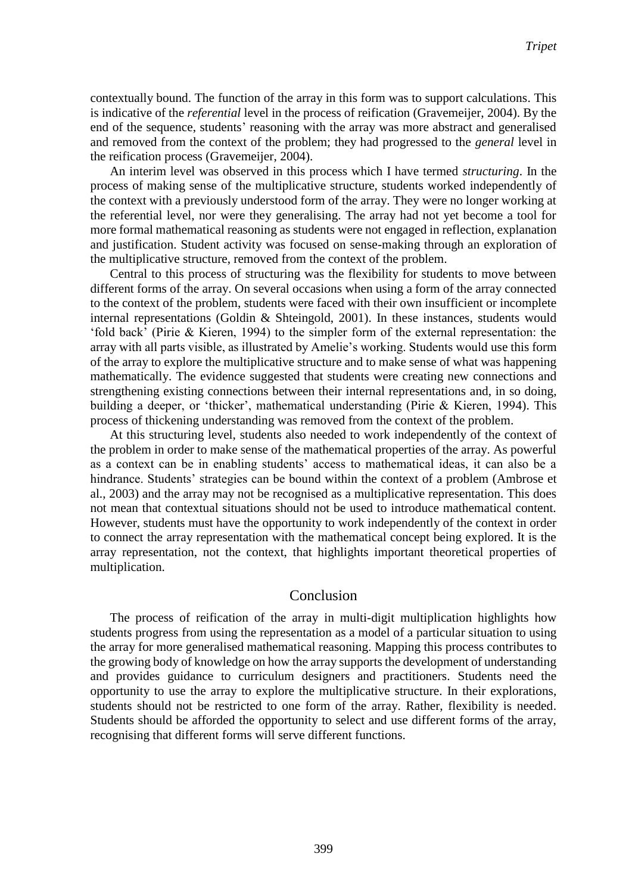contextually bound. The function of the array in this form was to support calculations. This is indicative of the *referential* level in the process of reification (Gravemeijer, 2004). By the end of the sequence, students' reasoning with the array was more abstract and generalised and removed from the context of the problem; they had progressed to the *general* level in the reification process (Gravemeijer, 2004).

An interim level was observed in this process which I have termed *structuring*. In the process of making sense of the multiplicative structure, students worked independently of the context with a previously understood form of the array. They were no longer working at the referential level, nor were they generalising. The array had not yet become a tool for more formal mathematical reasoning as students were not engaged in reflection, explanation and justification. Student activity was focused on sense-making through an exploration of the multiplicative structure, removed from the context of the problem.

Central to this process of structuring was the flexibility for students to move between different forms of the array. On several occasions when using a form of the array connected to the context of the problem, students were faced with their own insufficient or incomplete internal representations (Goldin & Shteingold, 2001). In these instances, students would 'fold back' (Pirie & Kieren, 1994) to the simpler form of the external representation: the array with all parts visible, as illustrated by Amelie's working. Students would use this form of the array to explore the multiplicative structure and to make sense of what was happening mathematically. The evidence suggested that students were creating new connections and strengthening existing connections between their internal representations and, in so doing, building a deeper, or 'thicker', mathematical understanding (Pirie & Kieren, 1994). This process of thickening understanding was removed from the context of the problem.

At this structuring level, students also needed to work independently of the context of the problem in order to make sense of the mathematical properties of the array. As powerful as a context can be in enabling students' access to mathematical ideas, it can also be a hindrance. Students' strategies can be bound within the context of a problem (Ambrose et al., 2003) and the array may not be recognised as a multiplicative representation. This does not mean that contextual situations should not be used to introduce mathematical content. However, students must have the opportunity to work independently of the context in order to connect the array representation with the mathematical concept being explored. It is the array representation, not the context, that highlights important theoretical properties of multiplication.

#### Conclusion

The process of reification of the array in multi-digit multiplication highlights how students progress from using the representation as a model of a particular situation to using the array for more generalised mathematical reasoning. Mapping this process contributes to the growing body of knowledge on how the array supports the development of understanding and provides guidance to curriculum designers and practitioners. Students need the opportunity to use the array to explore the multiplicative structure. In their explorations, students should not be restricted to one form of the array. Rather, flexibility is needed. Students should be afforded the opportunity to select and use different forms of the array, recognising that different forms will serve different functions.